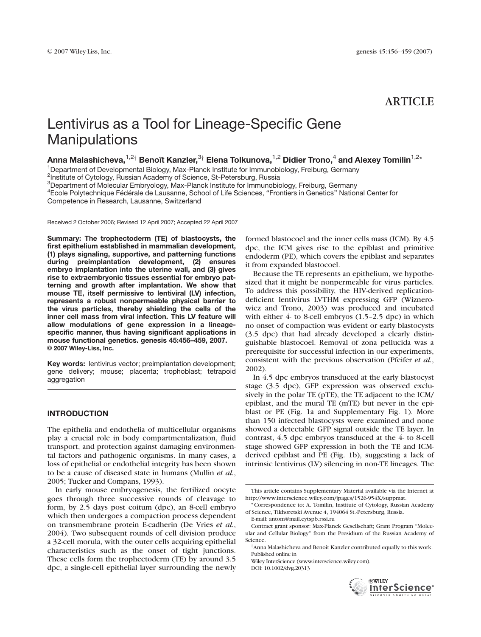# ARTICLE

# Lentivirus as a Tool for Lineage-Specific Gene **Manipulations**

Anna Malashicheva,<sup>1,2†</sup> Benoît Kanzler,<sup>3†</sup> Elena Tolkunova,<sup>1,2</sup> Didier Trono,<sup>4</sup> and Alexey Tomilin<sup>1,2\*</sup>

<sup>1</sup>Department of Developmental Biology, Max-Planck Institute for Immunobiology, Freiburg, Germany

<sup>2</sup>Institute of Cytology, Russian Academy of Science, St-Petersburg, Russia

<sup>3</sup>Department of Molecular Embryology, Max-Planck Institute for Immunobiology, Freiburg, Germany

<sup>4</sup>Ecole Polytechnique Fédérale de Lausanne, School of Life Sciences, "Frontiers in Genetics" National Center for Competence in Research, Lausanne, Switzerland

Received 2 October 2006; Revised 12 April 2007; Accepted 22 April 2007

Summary: The trophectoderm (TE) of blastocysts, the first epithelium established in mammalian development, (1) plays signaling, supportive, and patterning functions during preimplantation development, (2) ensures embryo implantation into the uterine wall, and (3) gives rise to extraembryonic tissues essential for embryo patterning and growth after implantation. We show that mouse TE, itself permissive to lentiviral (LV) infection, represents a robust nonpermeable physical barrier to the virus particles, thereby shielding the cells of the inner cell mass from viral infection. This LV feature will allow modulations of gene expression in a lineagespecific manner, thus having significant applications in mouse functional genetics. genesis 45:456–459, 2007. © 2007 Wiley-Liss, Inc.

Key words: lentivirus vector; preimplantation development; gene delivery; mouse; placenta; trophoblast; tetrapoid aggregation

## INTRODUCTION

The epithelia and endothelia of multicellular organisms play a crucial role in body compartmentalization, fluid transport, and protection against damaging environmental factors and pathogenic organisms. In many cases, a loss of epithelial or endothelial integrity has been shown to be a cause of diseased state in humans (Mullin et al., 2005; Tucker and Compans, 1993).

In early mouse embryogenesis, the fertilized oocyte goes through three successive rounds of cleavage to form, by 2.5 days post coitum (dpc), an 8-cell embryo which then undergoes a compaction process dependent on transmembrane protein E-cadherin (De Vries et al., 2004). Two subsequent rounds of cell division produce a 32-cell morula, with the outer cells acquiring epithelial characteristics such as the onset of tight junctions. These cells form the trophectoderm (TE) by around 3.5 dpc, a single-cell epithelial layer surrounding the newly

formed blastocoel and the inner cells mass (ICM). By 4.5 dpc, the ICM gives rise to the epiblast and primitive endoderm (PE), which covers the epiblast and separates it from expanded blastocoel.

Because the TE represents an epithelium, we hypothesized that it might be nonpermeable for virus particles. To address this possibility, the HIV-derived replicationdeficient lentivirus LVTHM expressing GFP (Wiznerowicz and Trono, 2003) was produced and incubated with either  $4$ - to 8-cell embryos  $(1.5-2.5$  dpc) in which no onset of compaction was evident or early blastocysts (3.5 dpc) that had already developed a clearly distinguishable blastocoel. Removal of zona pellucida was a prerequisite for successful infection in our experiments, consistent with the previous observation (Pfeifer et al., 2002).

In 4.5 dpc embryos transduced at the early blastocyst stage (3.5 dpc), GFP expression was observed exclusively in the polar TE (pTE), the TE adjacent to the ICM/ epiblast, and the mural TE (mTE) but never in the epiblast or PE (Fig. 1a and Supplementary Fig. 1). More than 150 infected blastocysts were examined and none showed a detectable GFP signal outside the TE layer. In contrast, 4.5 dpc embryos transduced at the 4- to 8-cell stage showed GFP expression in both the TE and ICMderived epiblast and PE (Fig. 1b), suggesting a lack of intrinsic lentivirus (LV) silencing in non-TE lineages. The

E-mail: antom@mail.cytspb.rssi.ru Contract grant sponsor: Max-Planck Gesellschaft; Grant Program ''Molecular and Cellular Biology'' from the Presidium of the Russian Academy of Science.

Wiley InterScience (www.interscience.wiley.com).

DOI: 10.1002/dvg.20313



This article contains Supplementary Material available via the Internet at http://www.interscience.wiley.com/jpages/1526-954X/suppmat.

<sup>\*</sup> Correspondence to: A. Tomilin, Institute of Cytology, Russian Academy of Science, Tikhoretski Avenue 4, 194064 St.-Petersburg, Russia.

 $^\dagger$ Anna Malashicheva and Benoît Kanzler contributed equally to this work. Published online in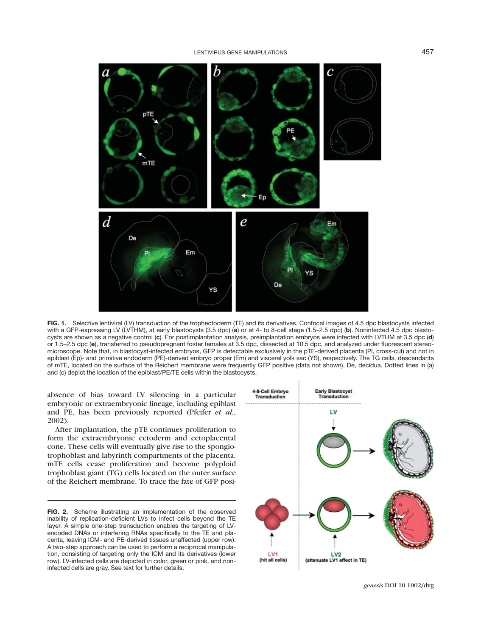

FIG. 1. Selective lentiviral (LV) transduction of the trophectoderm (TE) and its derivatives. Confocal images of 4.5 dpc blastocysts infected with a GFP-expressing LV (LVTHM), at early blastocysts (3.5 dpc) (a) or at 4- to 8-cell stage (1.5–2.5 dpc) (b). Noninfected 4.5 dpc blastocysts are shown as a negative control (c). For postimplantation analysis, preimplantation embryos were infected with LVTHM at 3.5 dpc (d) or 1.5–2.5 dpc (e), transferred to pseudopregnant foster females at 3.5 dpc, dissected at 10.5 dpc, and analyzed under fluorescent stereomicroscope. Note that, in blastocyst-infected embryos, GFP is detectable exclusively in the pTE-derived placenta (Pl, cross-cut) and not in epiblast (Ep)- and primitive endoderm (PE)-derived embryo proper (Em) and visceral yolk sac (YS), respectively. The TG cells, descendants of mTE, located on the surface of the Reichert membrane were frequently GFP positive (data not shown). De, decidua. Dotted lines in (a) and (c) depict the location of the epiblast/PE/TE cells within the blastocysts.

absence of bias toward LV silencing in a particular embryonic or extraembryonic lineage, including epiblast and PE, has been previously reported (Pfeifer et al., 2002).

After implantation, the pTE continues proliferation to form the extraembryonic ectoderm and ectoplacental cone. These cells will eventually give rise to the spongiotrophoblast and labyrinth compartments of the placenta. mTE cells cease proliferation and become polyploid trophoblast giant (TG) cells located on the outer surface of the Reichert membrane. To trace the fate of GFP posi-

FIG. 2. Scheme illustrating an implementation of the observed inability of replication-deficient LVs to infect cells beyond the TE layer. A simple one-step transduction enables the targeting of LVencoded DNAs or interfering RNAs specifically to the TE and placenta, leaving ICM- and PE-derived tissues unaffected (upper row). A two-step approach can be used to perform a reciprocal manipulation, consisting of targeting only the ICM and its derivatives (lower row). LV-infected cells are depicted in color, green or pink, and noninfected cells are gray. See text for further details.

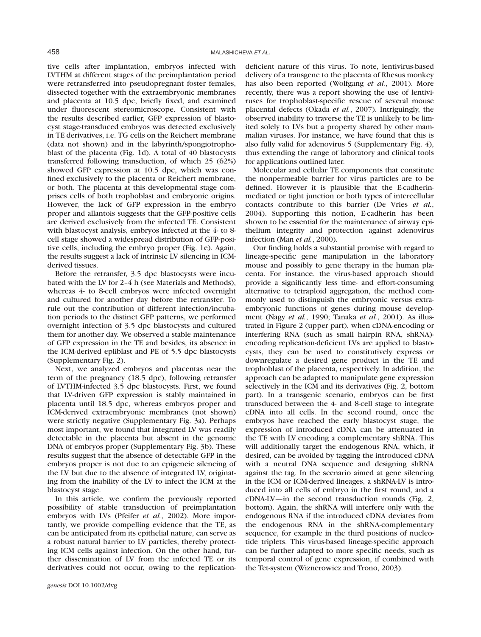tive cells after implantation, embryos infected with LVTHM at different stages of the preimplantation period were retransferred into pseudopregnant foster females, dissected together with the extraembryonic membranes and placenta at 10.5 dpc, briefly fixed, and examined under fluorescent stereomicroscope. Consistent with the results described earlier, GFP expression of blastocyst stage-transduced embryos was detected exclusively in TE derivatives, i.e. TG cells on the Reichert membrane (data not shown) and in the labyrinth/spongiotrophoblast of the placenta (Fig. 1d). A total of 40 blastocysts transferred following transduction, of which 25 (62%) showed GFP expression at 10.5 dpc, which was confined exclusively to the placenta or Reichert membrane, or both. The placenta at this developmental stage comprises cells of both trophoblast and embryonic origins. However, the lack of GFP expression in the embryo proper and allantois suggests that the GFP-positive cells are derived exclusively from the infected TE. Consistent with blastocyst analysis, embryos infected at the 4- to 8cell stage showed a widespread distribution of GFP-positive cells, including the embryo proper (Fig. 1e). Again, the results suggest a lack of intrinsic LV silencing in ICMderived tissues.

Before the retransfer, 3.5 dpc blastocysts were incubated with the LV for 2–4 h (see Materials and Methods), whereas 4- to 8-cell embryos were infected overnight and cultured for another day before the retransfer. To rule out the contribution of different infection/incubation periods to the distinct GFP patterns, we performed overnight infection of 3.5 dpc blastocysts and cultured them for another day. We observed a stable maintenance of GFP expression in the TE and besides, its absence in the ICM-derived epliblast and PE of 5.5 dpc blastocysts (Supplementary Fig. 2).

Next, we analyzed embryos and placentas near the term of the pregnancy (18.5 dpc), following retransfer of LVTHM-infected 3.5 dpc blastocysts. First, we found that LV-driven GFP expression is stably maintained in placenta until 18.5 dpc, whereas embryos proper and ICM-derived extraembryonic membranes (not shown) were strictly negative (Supplementary Fig. 3a). Perhaps most important, we found that integrated LV was readily detectable in the placenta but absent in the genomic DNA of embryos proper (Supplementary Fig. 3b). These results suggest that the absence of detectable GFP in the embryos proper is not due to an epigeneic silencing of the LV but due to the absence of integrated LV, originating from the inability of the LV to infect the ICM at the blastocyst stage.

In this article, we confirm the previously reported possibility of stable transduction of preimplantation embryos with LVs (Pfeifer et al., 2002). More importantly, we provide compelling evidence that the TE, as can be anticipated from its epithelial nature, can serve as a robust natural barrier to LV particles, thereby protecting ICM cells against infection. On the other hand, further dissemination of LV from the infected TE or its derivatives could not occur, owing to the replicationdeficient nature of this virus. To note, lentivirus-based delivery of a transgene to the placenta of Rhesus monkey has also been reported (Wolfgang et al., 2001). More recently, there was a report showing the use of lentiviruses for trophoblast-specific rescue of several mouse placental defects (Okada et al., 2007). Intriguingly, the observed inability to traverse the TE is unlikely to be limited solely to LVs but a property shared by other mammalian viruses. For instance, we have found that this is also fully valid for adenovirus 5 (Supplementary Fig. 4), thus extending the range of laboratory and clinical tools for applications outlined later.

Molecular and cellular TE components that constitute the nonpermeable barrier for virus particles are to be defined. However it is plausible that the E-cadherinmediated or tight junction or both types of intercellular contacts contribute to this barrier (De Vries et al., 2004). Supporting this notion, E-cadherin has been shown to be essential for the maintenance of airway epithelium integrity and protection against adenovirus infection (Man et al., 2000).

Our finding holds a substantial promise with regard to lineage-specific gene manipulation in the laboratory mouse and possibly to gene therapy in the human placenta. For instance, the virus-based approach should provide a significantly less time- and effort-consuming alternative to tetraploid aggregation, the method commonly used to distinguish the embryonic versus extraembryonic functions of genes during mouse development (Nagy et al., 1990; Tanaka et al., 2001). As illustrated in Figure 2 (upper part), when cDNA-encoding or interfering RNA (such as small hairpin RNA, shRNA) encoding replication-deficient LVs are applied to blastocysts, they can be used to constitutively express or downregulate a desired gene product in the TE and trophoblast of the placenta, respectively. In addition, the approach can be adapted to manipulate gene expression selectively in the ICM and its derivatives (Fig. 2, bottom part). In a transgenic scenario, embryos can be first transduced between the 4- and 8-cell stage to integrate cDNA into all cells. In the second round, once the embryos have reached the early blastocyst stage, the expression of introduced cDNA can be attenuated in the TE with LV encoding a complementary shRNA. This will additionally target the endogenous RNA, which, if desired, can be avoided by tagging the introduced cDNA with a neutral DNA sequence and designing shRNA against the tag. In the scenario aimed at gene silencing in the ICM or ICM-derived lineages, a shRNA-LV is introduced into all cells of embryo in the first round, and a cDNA-LV—in the second transduction rounds (Fig. 2, bottom). Again, the shRNA will interfere only with the endogenous RNA if the introduced cDNA deviates from the endogenous RNA in the shRNA-complementary sequence, for example in the third positions of nucleotide triplets. This virus-based lineage-specific approach can be further adapted to more specific needs, such as temporal control of gene expression, if combined with the Tet-system (Wiznerowicz and Trono, 2003).